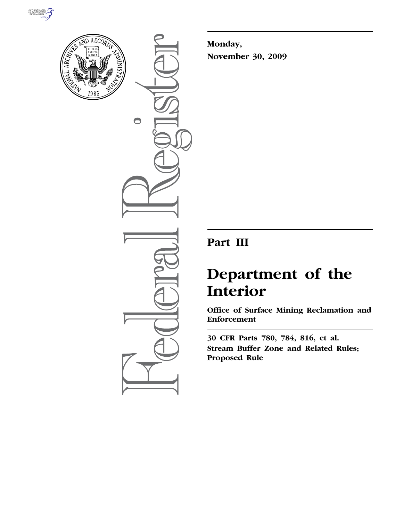



 $\bigcirc$ 

**Monday, November 30, 2009** 

# **Part III**

# **Department of the Interior**

**Office of Surface Mining Reclamation and Enforcement** 

**30 CFR Parts 780, 784, 816, et al. Stream Buffer Zone and Related Rules; Proposed Rule**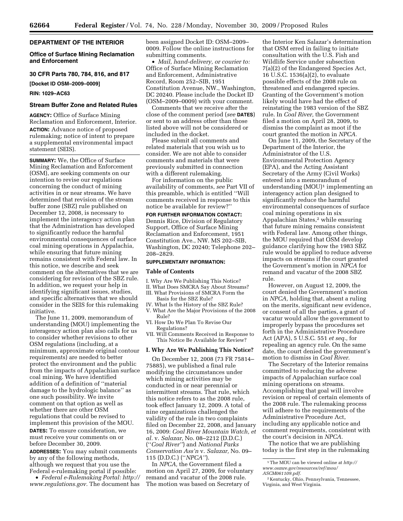#### **DEPARTMENT OF THE INTERIOR**

#### **Office of Surface Mining Reclamation and Enforcement**

# **30 CFR Parts 780, 784, 816, and 817**

**[Docket ID OSM–2009–0009]** 

#### **RIN: 1029–AC63**

# **Stream Buffer Zone and Related Rules**

**AGENCY:** Office of Surface Mining Reclamation and Enforcement, Interior. **ACTION:** Advance notice of proposed rulemaking; notice of intent to prepare a supplemental environmental impact statement (SEIS).

**SUMMARY:** We, the Office of Surface Mining Reclamation and Enforcement (OSM), are seeking comments on our intention to revise our regulations concerning the conduct of mining activities in or near streams. We have determined that revision of the stream buffer zone (SBZ) rule published on December 12, 2008, is necessary to implement the interagency action plan that the Administration has developed to significantly reduce the harmful environmental consequences of surface coal mining operations in Appalachia, while ensuring that future mining remains consistent with Federal law. In this notice, we describe and seek comment on the alternatives that we are considering for revision of the SBZ rule. In addition, we request your help in identifying significant issues, studies, and specific alternatives that we should consider in the SEIS for this rulemaking initiative.

The June 11, 2009, memorandum of understanding (MOU) implementing the interagency action plan also calls for us to consider whether revisions to other OSM regulations (including, at a minimum, approximate original contour requirements) are needed to better protect the environment and the public from the impacts of Appalachian surface coal mining. We have identified addition of a definition of ''material damage to the hydrologic balance'' as one such possibility. We invite comment on that option as well as whether there are other OSM regulations that could be revised to implement this provision of the MOU. **DATES:** To ensure consideration, we must receive your comments on or before December 30, 2009.

**ADDRESSES:** You may submit comments by any of the following methods, although we request that you use the Federal e-rulemaking portal if possible:

• *Federal e-Rulemaking Portal: http:// www.regulations.gov.* The document has been assigned Docket ID: OSM–2009– 0009. Follow the online instructions for submitting comments.

• *Mail, hand-delivery, or courier to:*  Office of Surface Mining Reclamation and Enforcement, Administrative Record, Room 252–SIB, 1951 Constitution Avenue, NW., Washington, DC 20240. Please include the Docket ID (OSM–2009–0009) with your comment.

Comments that we receive after the close of the comment period (*see* **DATES**) or sent to an address other than those listed above will not be considered or included in the docket.

Please submit all comments and related materials that you wish us to consider. We are not able to consider comments and materials that were previously submitted in connection with a different rulemaking.

For information on the public availability of comments, *see* Part VII of this preamble, which is entitled ''Will comments received in response to this notice be available for review?''

**FOR FURTHER INFORMATION CONTACT:**  Dennis Rice, Division of Regulatory Support, Office of Surface Mining Reclamation and Enforcement, 1951 Constitution Ave., NW. MS 202–SIB, Washington, DC 20240; Telephone 202– 208–2829.

#### **SUPPLEMENTARY INFORMATION:**

#### **Table of Contents**

- I. Why Are We Publishing This Notice?
- II. What Does SMCRA Say About Streams?
- III. What Provisions of SMCRA Form the Basis for the SBZ Rule?
- IV. What Is the History of the SBZ Rule?
- V. What Are the Major Provisions of the 2008 Rule?
- VI. How Do We Plan To Revise Our Regulations?
- VII. Will Comments Received in Response to This Notice Be Available for Review?

#### **I. Why Are We Publishing This Notice?**

On December 12, 2008 (73 FR 75814– 75885), we published a final rule modifying the circumstances under which mining activities may be conducted in or near perennial or intermittent streams. That rule, which this notice refers to as the 2008 rule, took effect January 12, 2009. A total of nine organizations challenged the validity of the rule in two complaints filed on December 22, 2008, and January 16, 2009: *Coal River Mountain Watch, et al.* v. *Salazar,* No. 08–2212 (D.D.C.) (''*Coal River''*) and *National Parks Conservation Ass'n* v. *Salazar,* No. 09– 115 (D.D.C.) (''*NPCA''*).

In *NPCA,* the Government filed a motion on April 27, 2009, for voluntary remand and vacatur of the 2008 rule. The motion was based on Secretary of

the Interior Ken Salazar's determination that OSM erred in failing to initiate consultation with the U.S. Fish and Wildlife Service under subsection 7(a)(2) of the Endangered Species Act, 16 U.S.C. 1536(a)(2), to evaluate possible effects of the 2008 rule on threatened and endangered species. Granting of the Government's motion likely would have had the effect of reinstating the 1983 version of the SBZ rule. In *Coal River,* the Government filed a motion on April 28, 2009, to dismiss the complaint as moot if the court granted the motion in *NPCA.* 

On June 11, 2009, the Secretary of the Department of the Interior, the Administrator of the U.S. Environmental Protection Agency (EPA), and the Acting Assistant Secretary of the Army (Civil Works) entered into a memorandum of understanding  $(MOU)^1$  implementing an interagency action plan designed to significantly reduce the harmful environmental consequences of surface coal mining operations in six Appalachian States,<sup>2</sup> while ensuring that future mining remains consistent with Federal law. Among other things, the MOU required that OSM develop guidance clarifying how the 1983 SBZ rule would be applied to reduce adverse impacts on streams if the court granted the Government's motion in *NPCA* for remand and vacatur of the 2008 SBZ rule.

However, on August 12, 2009, the court denied the Government's motion in *NPCA,* holding that, absent a ruling on the merits, significant new evidence, or consent of all the parties, a grant of vacatur would allow the government to improperly bypass the procedures set forth in the Administrative Procedure Act (APA), 5 U.S.C. 551 *et seq.,* for repealing an agency rule. On the same date, the court denied the government's motion to dismiss in *Coal River.* 

The Secretary of the Interior remains committed to reducing the adverse impacts of Appalachian surface coal mining operations on streams. Accomplishing that goal will involve revision or repeal of certain elements of the 2008 rule. The rulemaking process will adhere to the requirements of the Administrative Procedure Act, including any applicable notice and comment requirements, consistent with the court's decision in *NPCA.* 

The notice that we are publishing today is the first step in the rulemaking

<sup>1</sup>The MOU can be viewed online at *http:// www.osmre.gov/resources/ref/mou/ ASCM061109.pdf.* 

<sup>2</sup> Kentucky, Ohio, Pennsylvania, Tennessee, Virginia, and West Virginia.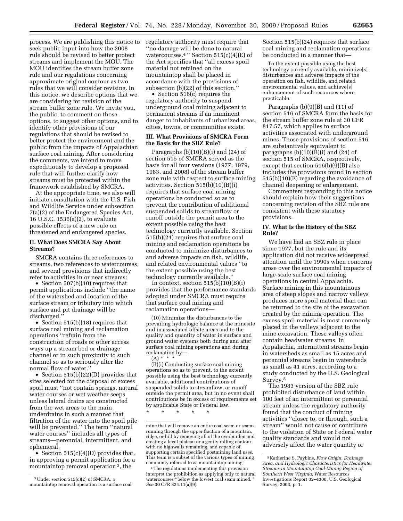process. We are publishing this notice to seek public input into how the 2008 rule should be revised to better protect streams and implement the MOU. The MOU identifies the stream buffer zone rule and our regulations concerning approximate original contour as two rules that we will consider revising. In this notice, we describe options that we are considering for revision of the stream buffer zone rule. We invite you, the public, to comment on those options, to suggest other options, and to identify other provisions of our regulations that should be revised to better protect the environment and the public from the impacts of Appalachian surface coal mining. After considering the comments, we intend to move expeditiously to develop a proposed

rule that will further clarify how streams must be protected within the framework established by SMCRA. At the appropriate time, we also will initiate consultation with the U.S. Fish and Wildlife Service under subsection

7(a)(2) of the Endangered Species Act, 16 U.S.C. 1536(a)(2), to evaluate possible effects of a new rule on threatened and endangered species.

### **II. What Does SMCRA Say About Streams?**

SMCRA contains three references to streams, two references to watercourses, and several provisions that indirectly refer to activities in or near streams:

• Section 507(b)(10) requires that permit applications include ''the name of the watershed and location of the surface stream or tributary into which surface and pit drainage will be discharged.''

• Section 515(b)(18) requires that surface coal mining and reclamation operations ''refrain from the construction of roads or other access ways up a stream bed or drainage channel or in such proximity to such channel so as to seriously alter the normal flow of water.''

• Section 515(b)(22)(D) provides that sites selected for the disposal of excess spoil must ''not contain springs, natural water courses or wet weather seeps unless lateral drains are constructed from the wet areas to the main underdrains in such a manner that filtration of the water into the spoil pile will be prevented.'' The term ''natural water courses'' includes all types of streams—perennial, intermittent, and ephemeral.

• Section 515(c)(4)(D) provides that, in approving a permit application for a mountaintop removal operation 3, the

regulatory authority must require that ''no damage will be done to natural watercourses.<sup>4</sup> " Section  $515(c)(4)(E)$  of the Act specifies that ''all excess spoil material not retained on the mountaintop shall be placed in accordance with the provisions of subsection (b)(22) of this section.''

• Section 516(c) requires the regulatory authority to suspend underground coal mining adjacent to permanent streams if an imminent danger to inhabitants of urbanized areas, cities, towns, or communities exists.

# **III. What Provisions of SMCRA Form the Basis for the SBZ Rule?**

Paragraphs  $(b)(10)(B)(i)$  and  $(24)$  of section 515 of SMCRA served as the basis for all four versions (1977, 1979, 1983, and 2008) of the stream buffer zone rule with respect to surface mining activities. Section 515(b)(10)(B)(i) requires that surface coal mining operations be conducted so as to prevent the contribution of additional suspended solids to streamflow or runoff outside the permit area to the extent possible using the best technology currently available. Section 515(b)(24) requires that surface coal mining and reclamation operations be conducted to minimize disturbances to and adverse impacts on fish, wildlife, and related environmental values ''to the extent possible using the best technology currently available.''

In context, section  $515(b)(10)(B)(i)$ provides that the performance standards adopted under SMCRA must require that surface coal mining and reclamation operations—

(10) Minimize the disturbances to the prevailing hydrologic balance at the minesite and in associated offsite areas and to the quality and quantity of water in surface and ground water systems both during and after surface coal mining operations and during reclamation by—  $(A)$  \*

(B)(i) Conducting surface coal mining operations so as to prevent, to the extent possible using the best technology currently available, additional contributions of suspended solids to streamflow, or runoff outside the permit area, but in no event shall contributions be in excess of requirements set by applicable State or Federal law.

\* \* \* \* \*

4The regulations implementing this provision interpret the prohibition as applying only to natural watercourses ''below the lowest coal seam mined.'' *See* 30 CFR 824.11(a)(9).

Section 515(b)(24) requires that surface coal mining and reclamation operations be conducted in a manner that—

To the extent possible using the best technology currently available, minimize[s] disturbances and adverse impacts of the operation on fish, wildlife, and related environmental values, and achieve[s] enhancement of such resources where practicable.

Paragraphs (b)(9)(B) and (11) of section 516 of SMCRA form the basis for the stream buffer zone rule at 30 CFR 817.57, which applies to surface activities associated with underground mines. Those provisions of section 516 are substantively equivalent to paragraphs  $(b)(10)(B)(i)$  and  $(24)$  of section 515 of SMCRA, respectively, except that section 516(b)(9)(B) also includes the provisions found in section 515(b)(10)(E) regarding the avoidance of channel deepening or enlargement.

Commenters responding to this notice should explain how their suggestions concerning revision of the SBZ rule are consistent with these statutory provisions.

#### **IV. What Is the History of the SBZ Rule?**

We have had an SBZ rule in place since 1977, but the rule and its application did not receive widespread attention until the 1990s when concerns arose over the environmental impacts of large-scale surface coal mining operations in central Appalachia. Surface mining in this mountainous area of steep slopes and narrow valleys produces more spoil material than can be returned to the site of the excavation created by the mining operation. The excess spoil material is most commonly placed in the valleys adjacent to the mine excavation. These valleys often contain headwater streams. In Appalachia, intermittent streams begin in watersheds as small as 15 acres and perennial streams begin in watersheds as small as 41 acres, according to a study conducted by the U.S. Geological Survey.5

The 1983 version of the SBZ rule prohibited disturbance of land within 100 feet of an intermittent or perennial stream unless the regulatory authority found that the conduct of mining activities ''closer to, or through, such a stream'' would not cause or contribute to the violation of State or Federal water quality standards and would not adversely affect the water quantity or

<sup>3</sup>Under section 515(c)(2) of SMCRA, a mountaintop removal operation is a surface coal

mine that will remove an entire coal seam or seams running through the upper fraction of a mountain, ridge, or hill by removing all of the overburden and creating a level plateau or a gently rolling contour with no highwalls remaining, and capable of supporting certain specified postmining land uses. This term is a subset of the various types of mining commonly referred to as mountaintop mining.

<sup>5</sup> Katherine S. Paybins, *Flow Origin, Drainage Area, and Hydrologic Characteristics for Headwater Streams in Mountaintop Coal-Mining Region of Southern West Virginia,* Water Resources Investigations Report 02–4300, U.S. Geological Survey, 2003, p. 1.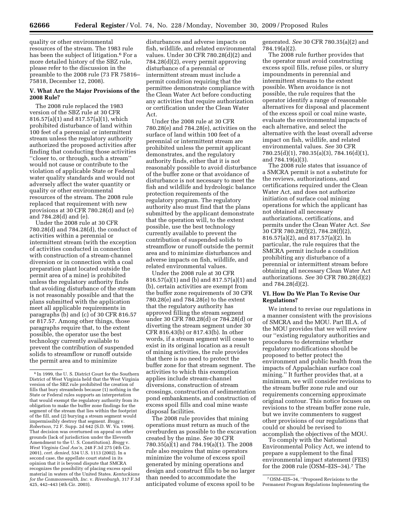quality or other environmental resources of the stream. The 1983 rule has been the subject of litigation.<sup>6</sup> For a more detailed history of the SBZ rule, please refer to the discussion in the preamble to the 2008 rule (73 FR 75816– 75818, December 12, 2008).

## **V. What Are the Major Provisions of the 2008 Rule?**

The 2008 rule replaced the 1983 version of the SBZ rule at 30 CFR 816.57(a)(1) and 817.57(a)(1), which prohibited disturbance of land within 100 feet of a perennial or intermittent stream unless the regulatory authority authorized the proposed activities after finding that conducting those activities ''closer to, or through, such a stream'' would not cause or contribute to the violation of applicable State or Federal water quality standards and would not adversely affect the water quantity or quality or other environmental resources of the stream. The 2008 rule replaced that requirement with new provisions at 30 CFR 780.28(d) and (e) and 784.28(d) and (e).

Under the 2008 rule at 30 CFR 780.28(d) and 784.28(d), the conduct of activities within a perennial or intermittent stream (with the exception of activities conducted in connection with construction of a stream-channel diversion or in connection with a coal preparation plant located outside the permit area of a mine) is prohibited unless the regulatory authority finds that avoiding disturbance of the stream is not reasonably possible and that the plans submitted with the application meet all applicable requirements in paragraphs (b) and (c) of 30 CFR 816.57 or 817.57. Among other things, those paragraphs require that, to the extent possible, the operator use the best technology currently available to prevent the contribution of suspended solids to streamflow or runoff outside the permit area and to minimize

disturbances and adverse impacts on fish, wildlife, and related environmental values. Under 30 CFR 780.28(d)(2) and 784.28(d)(2), every permit approving disturbance of a perennial or intermittent stream must include a permit condition requiring that the permittee demonstrate compliance with the Clean Water Act before conducting any activities that require authorization or certification under the Clean Water Act.

Under the 2008 rule at 30 CFR 780.28(e) and 784.28(e), activities on the surface of land within 100 feet of a perennial or intermittent stream are prohibited unless the permit applicant demonstrates, and the regulatory authority finds, either that it is not reasonably possible to avoid disturbance of the buffer zone or that avoidance of disturbance is not necessary to meet the fish and wildlife and hydrologic balance protection requirements of the regulatory program. The regulatory authority also must find that the plans submitted by the applicant demonstrate that the operation will, to the extent possible, use the best technology currently available to prevent the contribution of suspended solids to streamflow or runoff outside the permit area and to minimize disturbances and adverse impacts on fish, wildlife, and related environmental values.

Under the 2008 rule at 30 CFR 816.57(a)(1) and (b) and 817.57(a)(1) and (b), certain activities are exempt from the buffer zone requirements of 30 CFR 780.28(e) and 784.28(e) to the extent that the regulatory authority has approved filling the stream segment under 30 CFR 780.28(d) or 784.28(d) or diverting the stream segment under 30 CFR 816.43(b) or 817.43(b). In other words, if a stream segment will cease to exist in its original location as a result of mining activities, the rule provides that there is no need to protect the buffer zone for that stream segment. The activities to which this exemption applies include stream-channel diversions, construction of stream crossings, construction of sedimentation pond embankments, and construction of excess spoil fills and coal mine waste disposal facilities.

The 2008 rule provides that mining operations must return as much of the overburden as possible to the excavation created by the mine. *See* 30 CFR 780.35(a)(1) and 784.19(a)(1). The 2008 rule also requires that mine operators minimize the volume of excess spoil generated by mining operations and design and construct fills to be no larger than needed to accommodate the anticipated volume of excess spoil to be

generated. *See* 30 CFR 780.35(a)(2) and 784.19(a)(2).

The 2008 rule further provides that the operator must avoid constructing excess spoil fills, refuse piles, or slurry impoundments in perennial and intermittent streams to the extent possible. When avoidance is not possible, the rule requires that the operator identify a range of reasonable alternatives for disposal and placement of the excess spoil or coal mine waste, evaluate the environmental impacts of each alternative, and select the alternative with the least overall adverse impact on fish, wildlife, and related environmental values. *See* 30 CFR 780.25(d)(1), 780.35(a)(3), 784.16(d)(1), and 784.19(a)(3).

The 2008 rule states that issuance of a SMCRA permit is not a substitute for the reviews, authorizations, and certifications required under the Clean Water Act, and does not authorize initiation of surface coal mining operations for which the applicant has not obtained all necessary authorizations, certifications, and permits under the Clean Water Act. *See*  30 CFR 780.28(f)(2), 784.28(f)(2), 816.57(a)(2), and 817.57(a)(2). In particular, the rule requires that the SMCRA permit include a condition prohibiting any disturbance of a perennial or intermittent stream before obtaining all necessary Clean Water Act authorizations. *See* 30 CFR 780.28(d)(2) and 784.28(d)(2).

# **VI. How Do We Plan To Revise Our Regulations?**

We intend to revise our regulations in a manner consistent with the provisions of SMCRA and the MOU. Part III.A. of the MOU provides that we will review our ''existing regulatory authorities and procedures to determine whether regulatory modifications should be proposed to better protect the environment and public health from the impacts of Appalachian surface coal mining.'' It further provides that, at a minimum, we will consider revisions to the stream buffer zone rule and our requirements concerning approximate original contour. This notice focuses on revisions to the stream buffer zone rule, but we invite commenters to suggest other provisions of our regulations that could or should be revised to accomplish the objectives of the MOU.

To comply with the National Environmental Policy Act, we intend to prepare a supplement to the final environmental impact statement (FEIS) for the 2008 rule (OSM–EIS–34).7 The

<sup>6</sup> In 1999, the U. S. District Court for the Southern District of West Virginia held that the West Virginia version of the SBZ rule prohibited the creation of fills that bury streambeds because (1) nothing in the State or Federal rules supports an interpretation that would exempt the regulatory authority from its obligation to make the buffer zone findings for the segment of the stream that lies within the footprint of the fill, and (2) burying a stream segment would impermissibly destroy that segment. *Bragg* v. *Robertson,* 72 F. Supp. 2d 642 (S.D. W. Va. 1999). That decision was overturned on appeal on other grounds (lack of jurisdiction under the Eleventh Amendment to the U. S. Constitution). *Bragg* v. *West Virginia Coal Ass'n,* 248 F.3d 275 (4th Cir. 2001), *cert. denied,* 534 U.S. 1113 (2002). In a second case, the appellate court stated in its opinion that it is beyond dispute that SMCRA recognizes the possibility of placing excess spoil material in waters of the United States. *Kentuckians for the Commonwealth, Inc.* v. *Rivenburgh,* 317 F.3d 425, 442–443 (4th Cir. 2003).

<sup>7</sup>OSM–EIS–34, ''Proposed Revisions to the Permanent Program Regulations Implementing the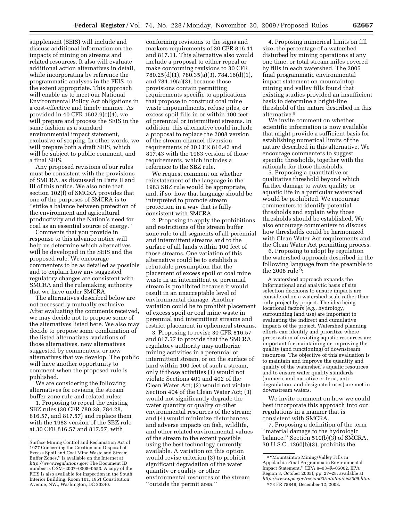supplement (SEIS) will include and discuss additional information on the impacts of mining on streams and related resources. It also will evaluate additional action alternatives in detail, while incorporating by reference the programmatic analyses in the FEIS, to the extent appropriate. This approach will enable us to meet our National Environmental Policy Act obligations in a cost-effective and timely manner. As provided in 40 CFR 1502.9(c)(4), we will prepare and process the SEIS in the same fashion as a standard environmental impact statement, exclusive of scoping. In other words, we will prepare both a draft SEIS, which will be subject to public comment, and a final SEIS.

Any proposed revisions of our rules must be consistent with the provisions of SMCRA, as discussed in Parts II and III of this notice. We also note that section 102(f) of SMCRA provides that one of the purposes of SMCRA is to ''strike a balance between protection of the environment and agricultural productivity and the Nation's need for coal as an essential source of energy.''

Comments that you provide in response to this advance notice will help us determine which alternatives will be developed in the SEIS and the proposed rule. We encourage commenters to be as detailed as possible and to explain how any suggested regulatory changes are consistent with SMCRA and the rulemaking authority that we have under SMCRA.

The alternatives described below are not necessarily mutually exclusive. After evaluating the comments received, we may decide not to propose some of the alternatives listed here. We also may decide to propose some combination of the listed alternatives, variations of those alternatives, new alternatives suggested by commenters, or new alternatives that we develop. The public will have another opportunity to comment when the proposed rule is published.

We are considering the following alternatives for revising the stream buffer zone rule and related rules:

1. Proposing to repeal the existing SBZ rules (30 CFR 780.28, 784.28, 816.57, and 817.57) and replace them with the 1983 version of the SBZ rule at 30 CFR 816.57 and 817.57, with

conforming revisions to the signs and markers requirements of 30 CFR 816.11 and 817.11. This alternative also would include a proposal to either repeal or make conforming revisions to 30 CFR 780.25(d)(1), 780.35(a)(3), 784.16(d)(1), and 784.19(a)(3), because those provisions contain permitting requirements specific to applications that propose to construct coal mine waste impoundments, refuse piles, or excess spoil fills in or within 100 feet of perennial or intermittent streams. In addition, this alternative could include a proposal to replace the 2008 version of the stream-channel diversion requirements of 30 CFR 816.43 and 817.43 with the 1983 version of those requirements, which includes a reference to the SBZ rule.

We request comment on whether reinstatement of the language in the 1983 SBZ rule would be appropriate, and, if so, how that language should be interpreted to promote stream protection in a way that is fully consistent with SMCRA.

2. Proposing to apply the prohibitions and restrictions of the stream buffer zone rule to all segments of all perennial and intermittent streams and to the surface of all lands within 100 feet of those streams. One variation of this alternative could be to establish a rebuttable presumption that the placement of excess spoil or coal mine waste in an intermittent or perennial stream is prohibited because it would result in an unacceptable level of environmental damage. Another variation could be to prohibit placement of excess spoil or coal mine waste in perennial and intermittent streams and restrict placement in ephemeral streams.

3. Proposing to revise 30 CFR 816.57 and 817.57 to provide that the SMCRA regulatory authority may authorize mining activities in a perennial or intermittent stream, or on the surface of land within 100 feet of such a stream, only if those activities (1) would not violate Sections 401 and 402 of the Clean Water Act; (2) would not violate Section 404 of the Clean Water Act; (3) would not significantly degrade the water quantity or quality or other environmental resources of the stream; and (4) would minimize disturbances and adverse impacts on fish, wildlife, and other related environmental values of the stream to the extent possible using the best technology currently available. A variation on this option would revise criterion (3) to prohibit significant degradation of the water quantity or quality or other environmental resources of the stream ''outside the permit area.''

4. Proposing numerical limits on fill size, the percentage of a watershed disturbed by mining operations at any one time, or total stream miles covered by fills in each watershed. The 2005 final programmatic environmental impact statement on mountaintop mining and valley fills found that existing studies provided an insufficient basis to determine a bright-line threshold of the nature described in this alternative.8

We invite comment on whether scientific information is now available that might provide a sufficient basis for establishing numerical limits of the nature described in this alternative. We encourage commenters to suggest specific thresholds, together with the rationale for those thresholds.

5. Proposing a quantitative or qualitative threshold beyond which further damage to water quality or aquatic life in a particular watershed would be prohibited. We encourage commenters to identify potential thresholds and explain why those thresholds should be established. We also encourage commenters to discuss how thresholds could be harmonized with Clean Water Act requirements and the Clean Water Act permitting process.

6. Proposing to adopt by regulation the watershed approach described in the following language from the preamble to the 2008 rule 9:

A watershed approach expands the informational and analytic basis of site selection decisions to ensure impacts are considered on a watershed scale rather than only project by project. The idea being locational factors (*e.g.,* hydrology, surrounding land use) are important to evaluating the indirect and cumulative impacts of the project. Watershed planning efforts can identify and prioritize where preservation of existing aquatic resources are important for maintaining or improving the quality (and functioning) of downstream resources. The objective of this evaluation is to maintain and improve the quantity and quality of the watershed's aquatic resources and to ensure water quality standards (numeric and narrative criteria, antidegradation, and designated uses) are met in downstream waters.

We invite comment on how we could best incorporate this approach into our regulations in a manner that is consistent with SMCRA.

7. Proposing a definition of the term ''material damage to the hydrologic balance.'' Section 510(b)(3) of SMCRA, 30 U.S.C. 1260(b)(3), prohibits the

Surface Mining Control and Reclamation Act of 1977 Concerning the Creation and Disposal of Excess Spoil and Coal Mine Waste and Stream Buffer Zones,'' is available on the Internet at *http://www.regulations.gov.* The Document ID number is OSM–2007–0008–0553. A copy of the FEIS is also available for inspection in the South Interior Building, Room 101, 1951 Constitution Avenue, NW., Washington, DC 20240.

<sup>8</sup> ''Mountaintop Mining/Valley Fills in Appalachia Final Programmatic Environmental Impact Statement,'' (EPA 9–03–R–05002, EPA Region 3, October 2005), pp. 27–28; available at *http://www.epa.gov/region03/mtntop/eis2005.htm.*  9 73 FR 75849, December 12, 2008.